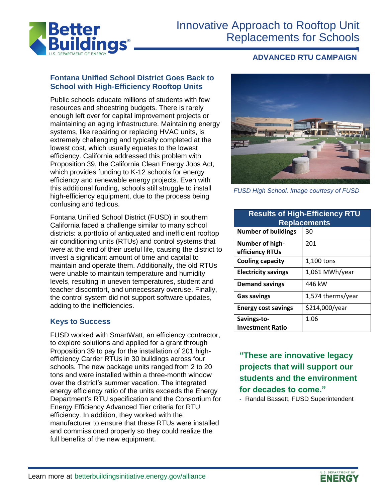

# Innovative Approach to Rooftop Unit Replacements for Schools

# ] **ADVANCED RTU CAMPAIGN**

# **Fontana Unified School District Goes Back to School with High-Efficiency Rooftop Units**

Public schools educate millions of students with few resources and shoestring budgets. There is rarely enough left over for capital improvement projects or maintaining an aging infrastructure. Maintaining energy systems, like repairing or replacing HVAC units, is extremely challenging and typically completed at the lowest cost, which usually equates to the lowest efficiency. California addressed this problem with Proposition 39, the California Clean Energy Jobs Act, which provides funding to K-12 schools for energy efficiency and renewable energy projects. Even with this additional funding, schools still struggle to install high-efficiency equipment, due to the process being confusing and tedious.

Fontana Unified School District (FUSD) in southern California faced a challenge similar to many school districts: a portfolio of antiquated and inefficient rooftop air conditioning units (RTUs) and control systems that were at the end of their useful life, causing the district to invest a significant amount of time and capital to maintain and operate them. Additionally, the old RTUs were unable to maintain temperature and humidity levels, resulting in uneven temperatures, student and teacher discomfort, and unnecessary overuse. Finally, the control system did not support software updates, adding to the inefficiencies.

#### **Keys to Success**

FUSD worked with SmartWatt, an efficiency contractor, to explore solutions and applied for a grant through Proposition 39 to pay for the installation of 201 highefficiency Carrier RTUs in 30 buildings across four schools. The new package units ranged from 2 to 20 tons and were installed within a three-month window over the district's summer vacation. The integrated energy efficiency ratio of the units exceeds the Energy Department's RTU specification and the Consortium for Energy Efficiency Advanced Tier criteria for RTU efficiency. In addition, they worked with the manufacturer to ensure that these RTUs were installed and commissioned properly so they could realize the full benefits of the new equipment.



*FUSD High School. Image courtesy of FUSD*

| <b>Results of High-Efficiency RTU</b><br><b>Replacements</b> |                   |
|--------------------------------------------------------------|-------------------|
| <b>Number of buildings</b>                                   | 30                |
| Number of high-<br>efficiency RTUs                           | 201               |
| <b>Cooling capacity</b>                                      | 1,100 tons        |
| <b>Electricity savings</b>                                   | 1,061 MWh/year    |
| <b>Demand savings</b>                                        | 446 kW            |
| <b>Gas savings</b>                                           | 1,574 therms/year |
| <b>Energy cost savings</b>                                   | \$214,000/year    |
| Savings-to-                                                  | 1.06              |
| <b>Investment Ratio</b>                                      |                   |

**"These are innovative legacy projects that will support our students and the environment for decades to come."**

- Randal Bassett, FUSD Superintendent